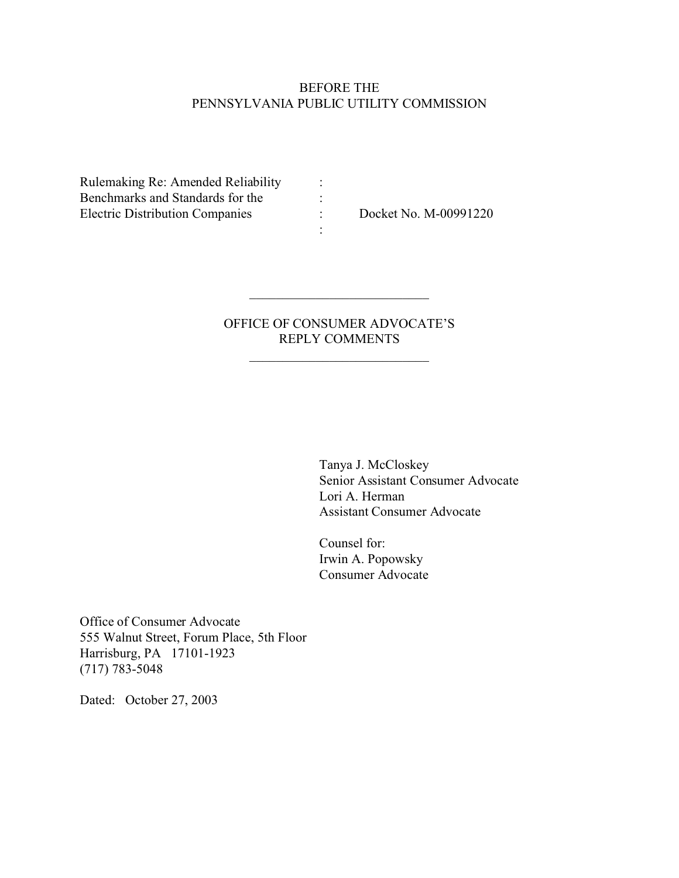## BEFORE THE PENNSYLVANIA PUBLIC UTILITY COMMISSION

Rulemaking Re: Amended Reliability : Benchmarks and Standards for the : Electric Distribution Companies : Docket No. M-00991220

# OFFICE OF CONSUMER ADVOCATE'S REPLY COMMENTS

\_\_\_\_\_\_\_\_\_\_\_\_\_\_\_\_\_\_\_\_\_\_\_\_\_\_\_

\_\_\_\_\_\_\_\_\_\_\_\_\_\_\_\_\_\_\_\_\_\_\_\_\_\_\_

:

Tanya J. McCloskey Senior Assistant Consumer Advocate Lori A. Herman Assistant Consumer Advocate

Counsel for: Irwin A. Popowsky Consumer Advocate

Office of Consumer Advocate 555 Walnut Street, Forum Place, 5th Floor Harrisburg, PA 17101-1923 (717) 783-5048

Dated: October 27, 2003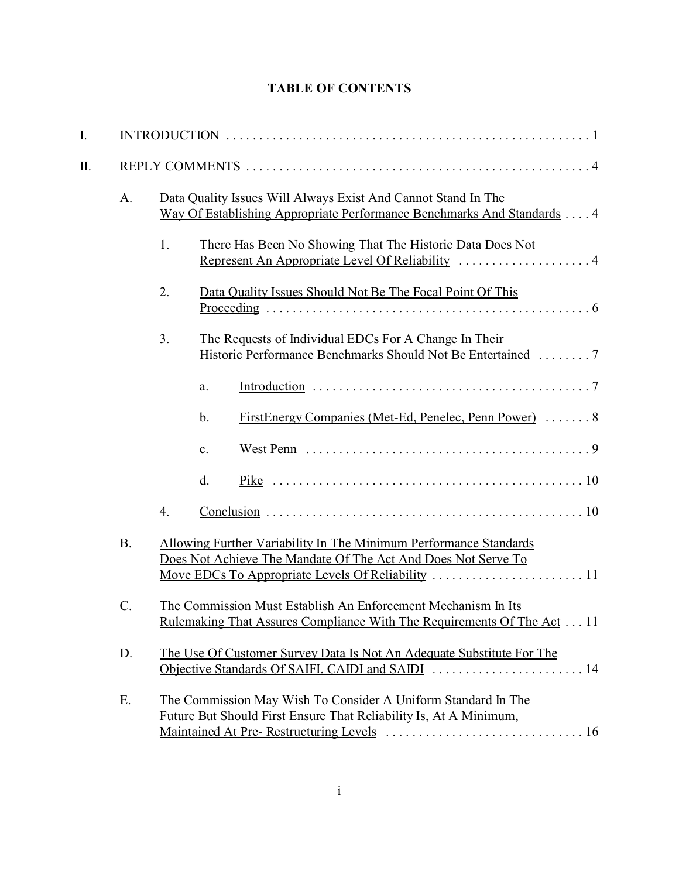# **TABLE OF CONTENTS**

| I. |                 |                                                                                                                                               |                                                                                                                                    |  |  |  |  |  |
|----|-----------------|-----------------------------------------------------------------------------------------------------------------------------------------------|------------------------------------------------------------------------------------------------------------------------------------|--|--|--|--|--|
| Π. |                 |                                                                                                                                               |                                                                                                                                    |  |  |  |  |  |
|    | A.              | Data Quality Issues Will Always Exist And Cannot Stand In The<br>Way Of Establishing Appropriate Performance Benchmarks And Standards 4       |                                                                                                                                    |  |  |  |  |  |
|    |                 | 1.                                                                                                                                            | There Has Been No Showing That The Historic Data Does Not<br>Represent An Appropriate Level Of Reliability  4                      |  |  |  |  |  |
|    |                 | 2.                                                                                                                                            | Data Quality Issues Should Not Be The Focal Point Of This                                                                          |  |  |  |  |  |
|    |                 | 3.                                                                                                                                            | The Requests of Individual EDCs For A Change In Their<br>Historic Performance Benchmarks Should Not Be Entertained 7               |  |  |  |  |  |
|    |                 |                                                                                                                                               | a.                                                                                                                                 |  |  |  |  |  |
|    |                 |                                                                                                                                               | FirstEnergy Companies (Met-Ed, Penelec, Penn Power)  8<br>b.                                                                       |  |  |  |  |  |
|    |                 |                                                                                                                                               | West Penn $\ldots \ldots \ldots \ldots \ldots \ldots \ldots \ldots \ldots \ldots \ldots \ldots \ldots$<br>$\mathbf{c}$ .           |  |  |  |  |  |
|    |                 |                                                                                                                                               | d.                                                                                                                                 |  |  |  |  |  |
|    |                 | 4.                                                                                                                                            |                                                                                                                                    |  |  |  |  |  |
|    | <b>B.</b>       | Allowing Further Variability In The Minimum Performance Standards<br>Does Not Achieve The Mandate Of The Act And Does Not Serve To            |                                                                                                                                    |  |  |  |  |  |
|    | $\mathcal{C}$ . | The Commission Must Establish An Enforcement Mechanism In Its<br><u>Rulemaking That Assures Compliance With The Requirements Of The Act11</u> |                                                                                                                                    |  |  |  |  |  |
|    | D.              | The Use Of Customer Survey Data Is Not An Adequate Substitute For The                                                                         |                                                                                                                                    |  |  |  |  |  |
|    | Ε.              |                                                                                                                                               | The Commission May Wish To Consider A Uniform Standard In The<br>Future But Should First Ensure That Reliability Is, At A Minimum, |  |  |  |  |  |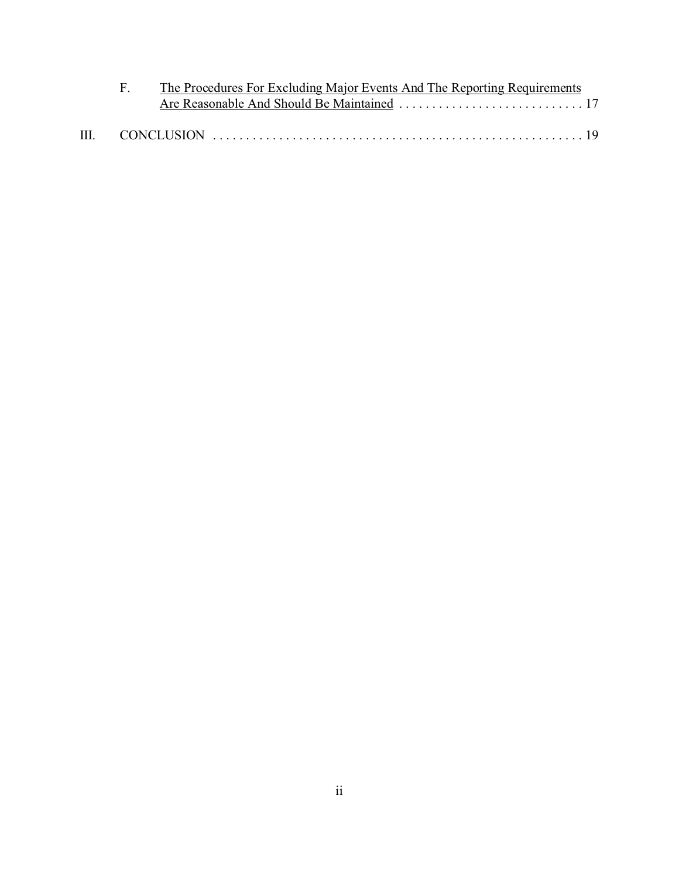|  | F. The Procedures For Excluding Major Events And The Reporting Requirements |  |  |  |  |  |
|--|-----------------------------------------------------------------------------|--|--|--|--|--|
|  |                                                                             |  |  |  |  |  |
|  |                                                                             |  |  |  |  |  |
|  |                                                                             |  |  |  |  |  |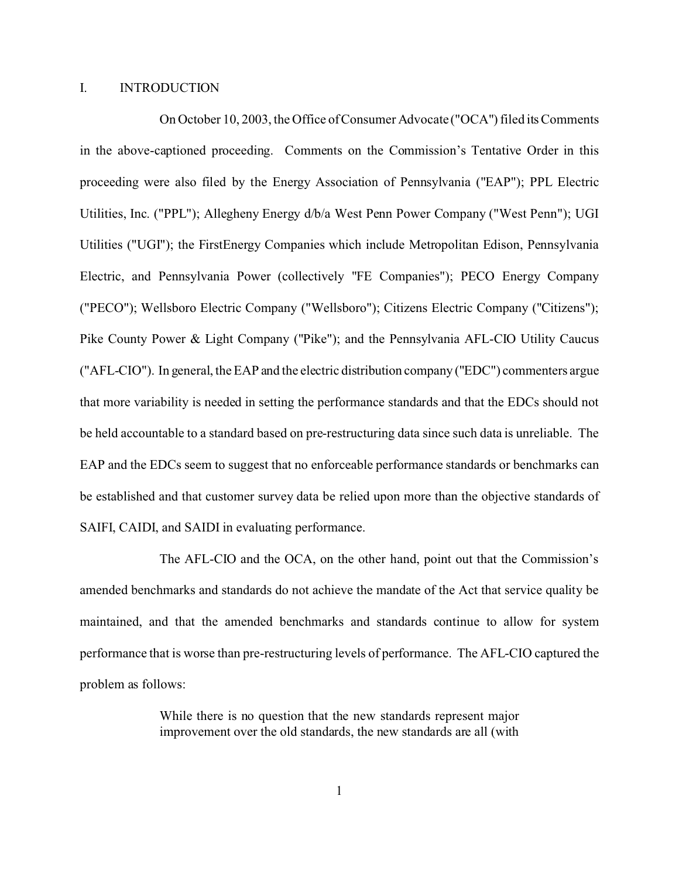### I. INTRODUCTION

On October 10, 2003, the Office of Consumer Advocate ("OCA") filed its Comments in the above-captioned proceeding. Comments on the Commission's Tentative Order in this proceeding were also filed by the Energy Association of Pennsylvania ("EAP"); PPL Electric Utilities, Inc. ("PPL"); Allegheny Energy d/b/a West Penn Power Company ("West Penn"); UGI Utilities ("UGI"); the FirstEnergy Companies which include Metropolitan Edison, Pennsylvania Electric, and Pennsylvania Power (collectively "FE Companies"); PECO Energy Company ("PECO"); Wellsboro Electric Company ("Wellsboro"); Citizens Electric Company ("Citizens"); Pike County Power & Light Company ("Pike"); and the Pennsylvania AFL-CIO Utility Caucus ("AFL-CIO"). In general, the EAP and the electric distribution company ("EDC") commenters argue that more variability is needed in setting the performance standards and that the EDCs should not be held accountable to a standard based on pre-restructuring data since such data is unreliable. The EAP and the EDCs seem to suggest that no enforceable performance standards or benchmarks can be established and that customer survey data be relied upon more than the objective standards of SAIFI, CAIDI, and SAIDI in evaluating performance.

The AFL-CIO and the OCA, on the other hand, point out that the Commission's amended benchmarks and standards do not achieve the mandate of the Act that service quality be maintained, and that the amended benchmarks and standards continue to allow for system performance that is worse than pre-restructuring levels of performance. The AFL-CIO captured the problem as follows:

> While there is no question that the new standards represent major improvement over the old standards, the new standards are all (with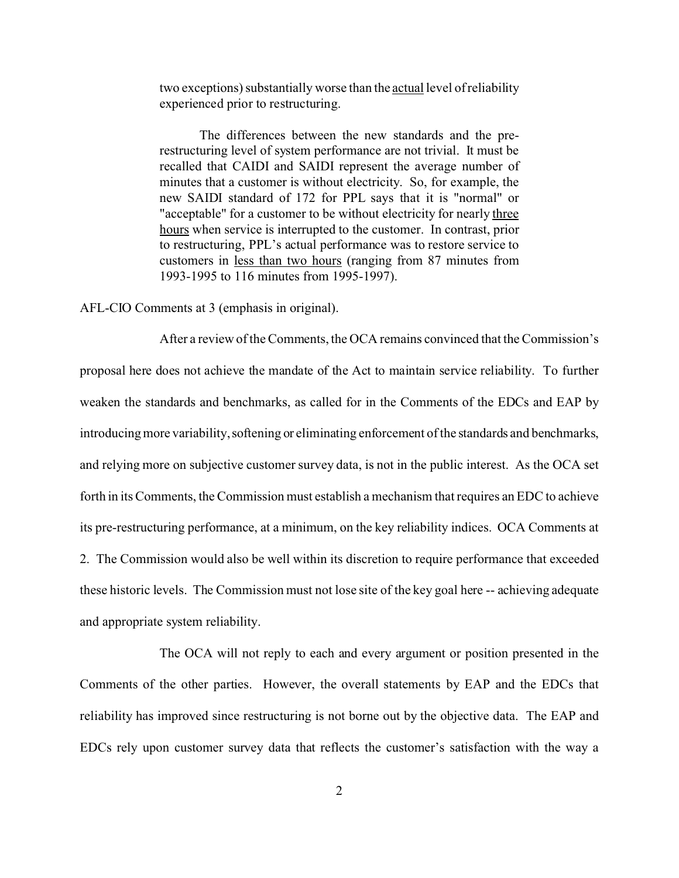two exceptions) substantially worse than the actual level of reliability experienced prior to restructuring.

The differences between the new standards and the prerestructuring level of system performance are not trivial. It must be recalled that CAIDI and SAIDI represent the average number of minutes that a customer is without electricity. So, for example, the new SAIDI standard of 172 for PPL says that it is "normal" or "acceptable" for a customer to be without electricity for nearly three hours when service is interrupted to the customer. In contrast, prior to restructuring, PPL's actual performance was to restore service to customers in less than two hours (ranging from 87 minutes from 1993-1995 to 116 minutes from 1995-1997).

AFL-CIO Comments at 3 (emphasis in original).

After a review of the Comments, the OCA remains convinced that the Commission's proposal here does not achieve the mandate of the Act to maintain service reliability. To further weaken the standards and benchmarks, as called for in the Comments of the EDCs and EAP by introducing more variability, softening or eliminating enforcement of the standards and benchmarks, and relying more on subjective customer survey data, is not in the public interest. As the OCA set forth in its Comments, the Commission must establish a mechanism that requires an EDC to achieve its pre-restructuring performance, at a minimum, on the key reliability indices. OCA Comments at 2. The Commission would also be well within its discretion to require performance that exceeded these historic levels. The Commission must not lose site of the key goal here -- achieving adequate and appropriate system reliability.

The OCA will not reply to each and every argument or position presented in the Comments of the other parties. However, the overall statements by EAP and the EDCs that reliability has improved since restructuring is not borne out by the objective data. The EAP and EDCs rely upon customer survey data that reflects the customer's satisfaction with the way a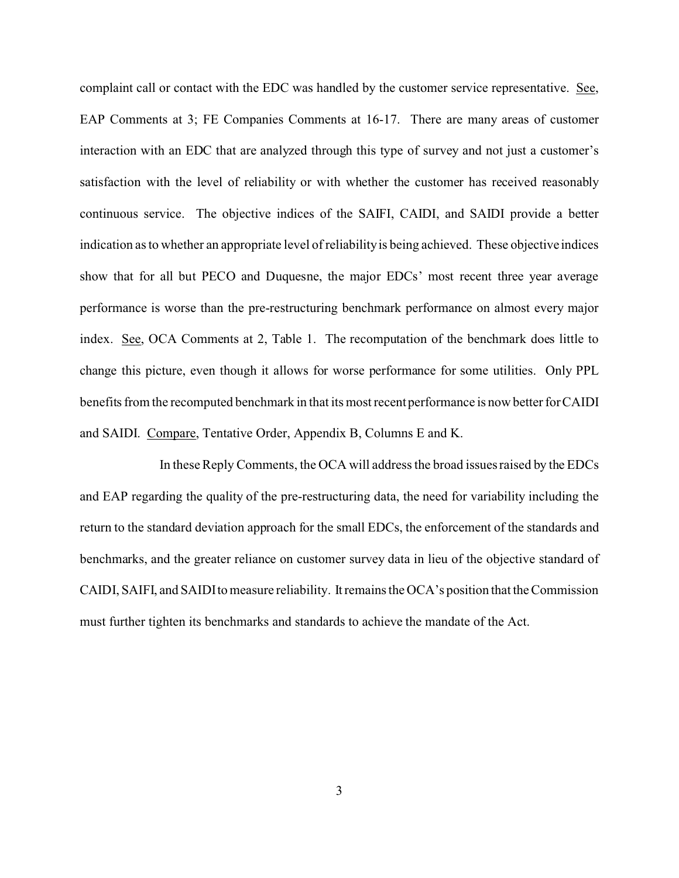complaint call or contact with the EDC was handled by the customer service representative. See, EAP Comments at 3; FE Companies Comments at 16-17. There are many areas of customer interaction with an EDC that are analyzed through this type of survey and not just a customer's satisfaction with the level of reliability or with whether the customer has received reasonably continuous service. The objective indices of the SAIFI, CAIDI, and SAIDI provide a better indication as to whether an appropriate level of reliability is being achieved. These objective indices show that for all but PECO and Duquesne, the major EDCs' most recent three year average performance is worse than the pre-restructuring benchmark performance on almost every major index. See, OCA Comments at 2, Table 1. The recomputation of the benchmark does little to change this picture, even though it allows for worse performance for some utilities. Only PPL benefits from the recomputed benchmark in that its most recent performance is now better for CAIDI and SAIDI. Compare, Tentative Order, Appendix B, Columns E and K.

In these Reply Comments, the OCA will address the broad issues raised by the EDCs and EAP regarding the quality of the pre-restructuring data, the need for variability including the return to the standard deviation approach for the small EDCs, the enforcement of the standards and benchmarks, and the greater reliance on customer survey data in lieu of the objective standard of CAIDI, SAIFI, and SAIDI to measure reliability. It remains the OCA's position that the Commission must further tighten its benchmarks and standards to achieve the mandate of the Act.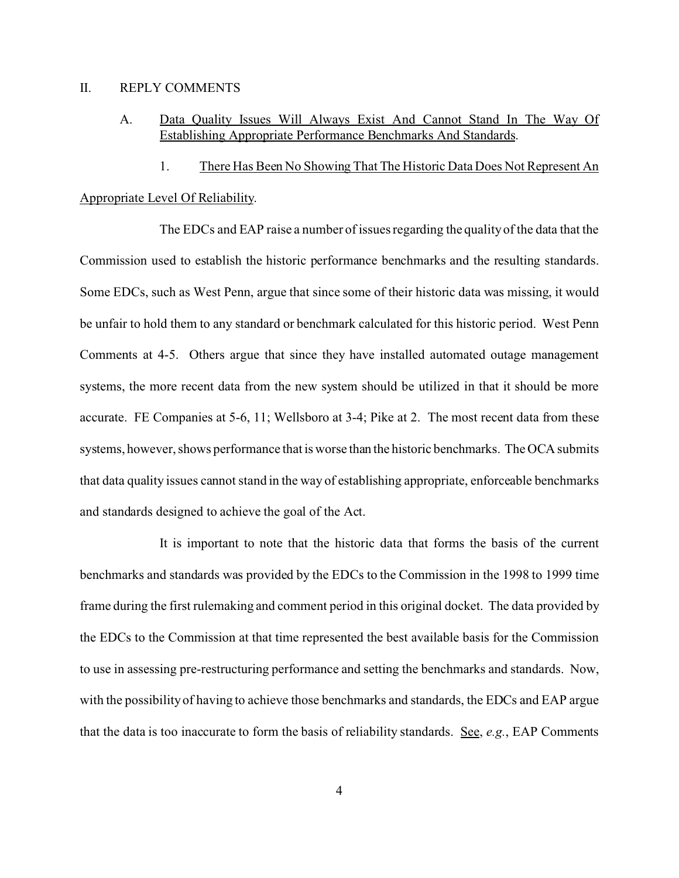### II. REPLY COMMENTS

- A. Data Quality Issues Will Always Exist And Cannot Stand In The Way Of Establishing Appropriate Performance Benchmarks And Standards.
- 1. There Has Been No Showing That The Historic Data Does Not Represent An Appropriate Level Of Reliability.

The EDCs and EAP raise a number of issues regarding the quality of the data that the Commission used to establish the historic performance benchmarks and the resulting standards. Some EDCs, such as West Penn, argue that since some of their historic data was missing, it would be unfair to hold them to any standard or benchmark calculated for this historic period. West Penn Comments at 4-5. Others argue that since they have installed automated outage management systems, the more recent data from the new system should be utilized in that it should be more accurate. FE Companies at 5-6, 11; Wellsboro at 3-4; Pike at 2. The most recent data from these systems, however, shows performance that is worse than the historic benchmarks. The OCA submits that data quality issues cannot stand in the way of establishing appropriate, enforceable benchmarks and standards designed to achieve the goal of the Act.

It is important to note that the historic data that forms the basis of the current benchmarks and standards was provided by the EDCs to the Commission in the 1998 to 1999 time frame during the first rulemaking and comment period in this original docket. The data provided by the EDCs to the Commission at that time represented the best available basis for the Commission to use in assessing pre-restructuring performance and setting the benchmarks and standards. Now, with the possibility of having to achieve those benchmarks and standards, the EDCs and EAP argue that the data is too inaccurate to form the basis of reliability standards. See, *e.g.*, EAP Comments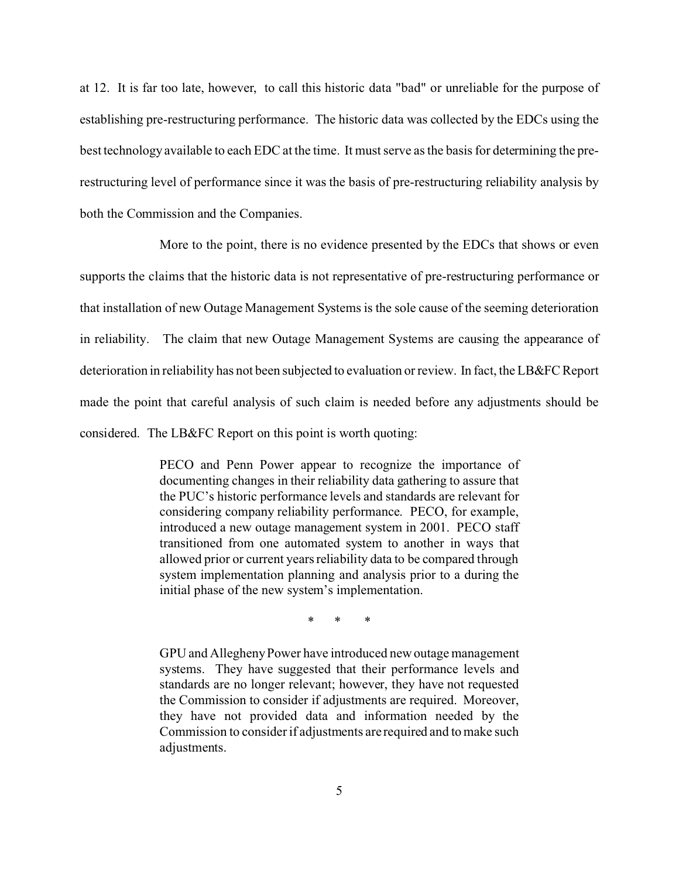at 12. It is far too late, however, to call this historic data "bad" or unreliable for the purpose of establishing pre-restructuring performance. The historic data was collected by the EDCs using the best technology available to each EDC at the time. It must serve as the basis for determining the prerestructuring level of performance since it was the basis of pre-restructuring reliability analysis by both the Commission and the Companies.

More to the point, there is no evidence presented by the EDCs that shows or even supports the claims that the historic data is not representative of pre-restructuring performance or that installation of new Outage Management Systems is the sole cause of the seeming deterioration in reliability. The claim that new Outage Management Systems are causing the appearance of deterioration in reliability has not been subjected to evaluation or review. In fact, the LB&FC Report made the point that careful analysis of such claim is needed before any adjustments should be considered. The LB&FC Report on this point is worth quoting:

> PECO and Penn Power appear to recognize the importance of documenting changes in their reliability data gathering to assure that the PUC's historic performance levels and standards are relevant for considering company reliability performance. PECO, for example, introduced a new outage management system in 2001. PECO staff transitioned from one automated system to another in ways that allowed prior or current years reliability data to be compared through system implementation planning and analysis prior to a during the initial phase of the new system's implementation.

> > \* \* \*

GPU and Allegheny Power have introduced new outage management systems. They have suggested that their performance levels and standards are no longer relevant; however, they have not requested the Commission to consider if adjustments are required. Moreover, they have not provided data and information needed by the Commission to consider if adjustments are required and to make such adjustments.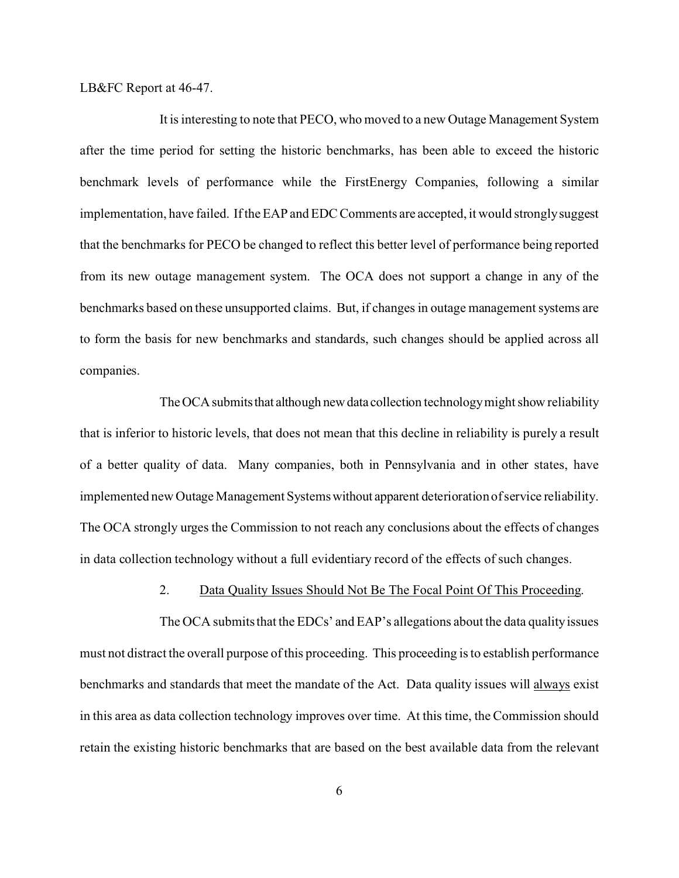LB&FC Report at 46-47.

It is interesting to note that PECO, who moved to a new Outage Management System after the time period for setting the historic benchmarks, has been able to exceed the historic benchmark levels of performance while the FirstEnergy Companies, following a similar implementation, have failed. If the EAP and EDC Comments are accepted, it would strongly suggest that the benchmarks for PECO be changed to reflect this better level of performance being reported from its new outage management system. The OCA does not support a change in any of the benchmarks based on these unsupported claims. But, if changes in outage management systems are to form the basis for new benchmarks and standards, such changes should be applied across all companies.

The OCA submits that although new data collection technology might show reliability that is inferior to historic levels, that does not mean that this decline in reliability is purely a result of a better quality of data. Many companies, both in Pennsylvania and in other states, have implemented new Outage Management Systems without apparent deterioration of service reliability. The OCA strongly urges the Commission to not reach any conclusions about the effects of changes in data collection technology without a full evidentiary record of the effects of such changes.

#### 2. Data Quality Issues Should Not Be The Focal Point Of This Proceeding.

The OCA submits that the EDCs' and EAP's allegations about the data quality issues must not distract the overall purpose of this proceeding. This proceeding is to establish performance benchmarks and standards that meet the mandate of the Act. Data quality issues will always exist in this area as data collection technology improves over time. At this time, the Commission should retain the existing historic benchmarks that are based on the best available data from the relevant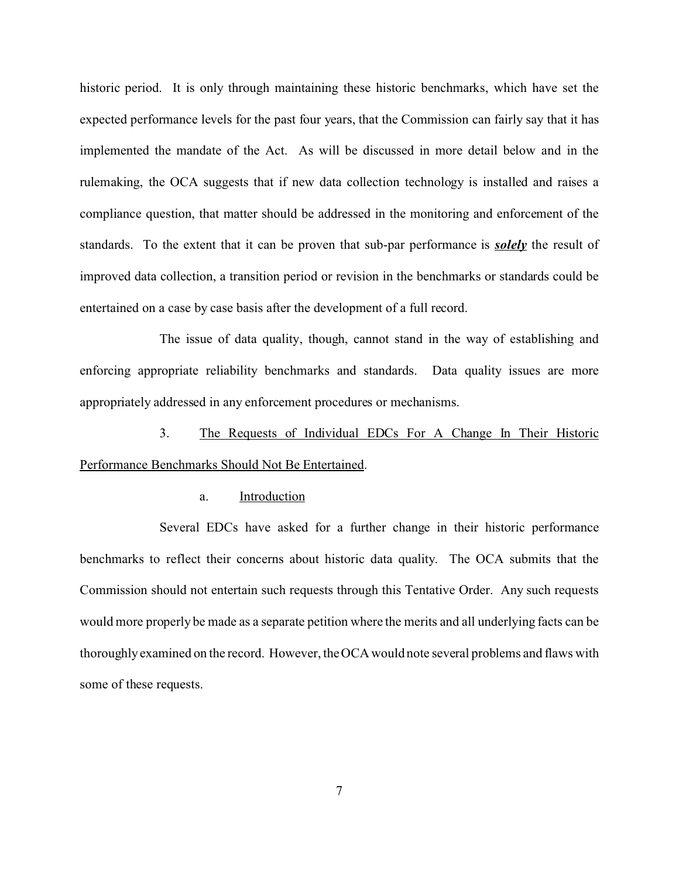historic period. It is only through maintaining these historic benchmarks, which have set the expected performance levels for the past four years, that the Commission can fairly say that it has implemented the mandate of the Act. As will be discussed in more detail below and in the rulemaking, the OCA suggests that if new data collection technology is installed and raises a compliance question, that matter should be addressed in the monitoring and enforcement of the standards. To the extent that it can be proven that sub-par performance is *solely* the result of improved data collection, a transition period or revision in the benchmarks or standards could be entertained on a case by case basis after the development of a full record.

The issue of data quality, though, cannot stand in the way of establishing and enforcing appropriate reliability benchmarks and standards. Data quality issues are more appropriately addressed in any enforcement procedures or mechanisms.

3. The Requests of Individual EDCs For A Change In Their Historic Performance Benchmarks Should Not Be Entertained.

#### a. Introduction

Several EDCs have asked for a further change in their historic performance benchmarks to reflect their concerns about historic data quality. The OCA submits that the Commission should not entertain such requests through this Tentative Order. Any such requests would more properly be made as a separate petition where the merits and all underlying facts can be thoroughly examined on the record. However, the OCA would note several problems and flaws with some of these requests.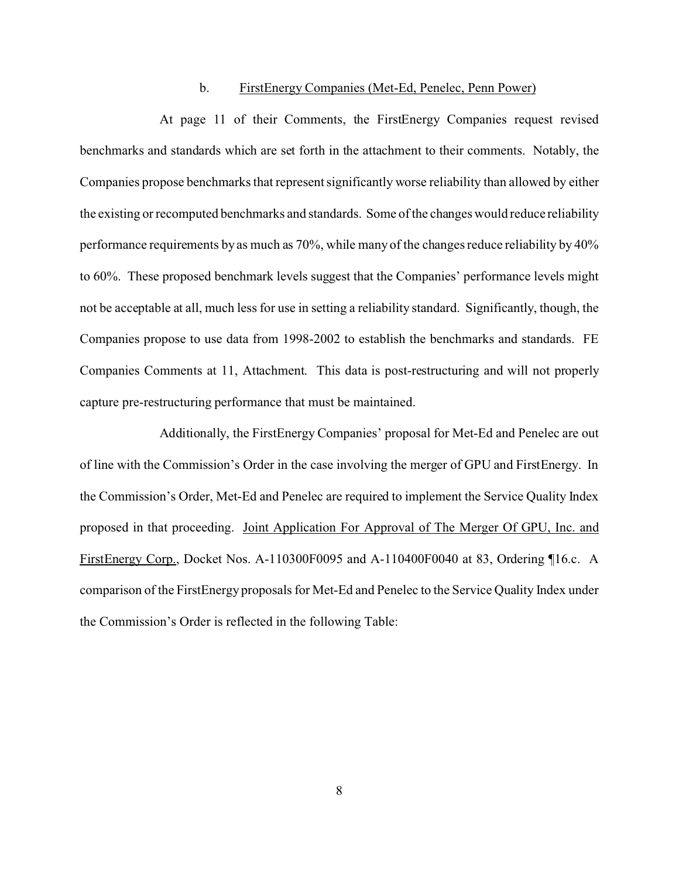#### b. FirstEnergy Companies (Met-Ed, Penelec, Penn Power)

At page 11 of their Comments, the FirstEnergy Companies request revised benchmarks and standards which are set forth in the attachment to their comments. Notably, the Companies propose benchmarks that represent significantly worse reliability than allowed by either the existing or recomputed benchmarks and standards. Some of the changes would reduce reliability performance requirements by as much as 70%, while many of the changes reduce reliability by 40% to 60%. These proposed benchmark levels suggest that the Companies' performance levels might not be acceptable at all, much less for use in setting a reliability standard. Significantly, though, the Companies propose to use data from 1998-2002 to establish the benchmarks and standards. FE Companies Comments at 11, Attachment. This data is post-restructuring and will not properly capture pre-restructuring performance that must be maintained.

Additionally, the FirstEnergy Companies' proposal for Met-Ed and Penelec are out of line with the Commission's Order in the case involving the merger of GPU and FirstEnergy. In the Commission's Order, Met-Ed and Penelec are required to implement the Service Quality Index proposed in that proceeding. Joint Application For Approval of The Merger Of GPU, Inc. and FirstEnergy Corp., Docket Nos. A-110300F0095 and A-110400F0040 at 83, Ordering ¶16.c. A comparison of the FirstEnergy proposals for Met-Ed and Penelec to the Service Quality Index under the Commission's Order is reflected in the following Table: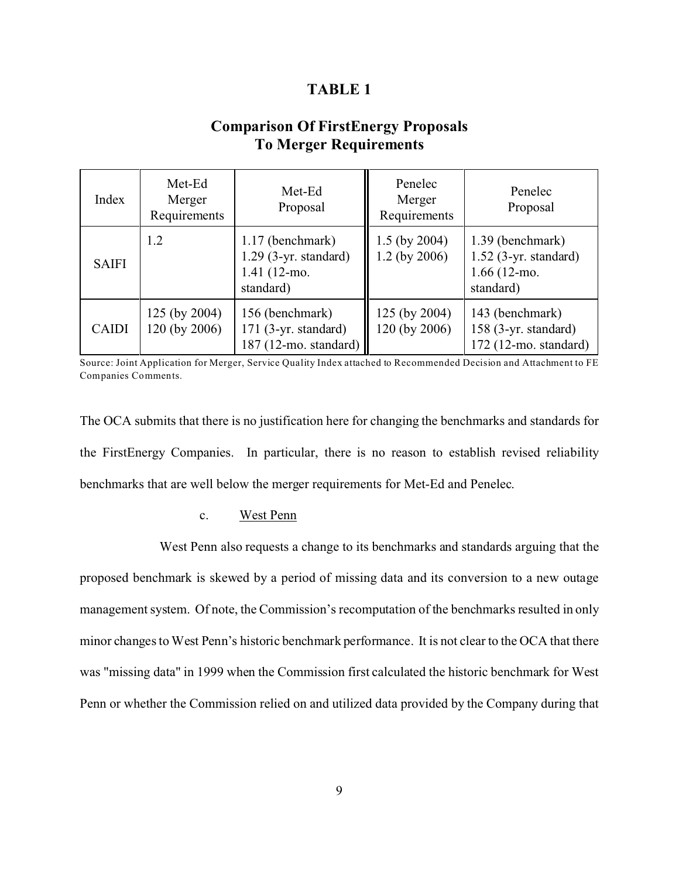## **TABLE 1**

# **Comparison Of FirstEnergy Proposals To Merger Requirements**

| Index        | Met-Ed<br>Merger<br>Requirements | Met-Ed<br>Proposal                                                       | Penelec<br>Merger<br>Requirements  | Penelec<br>Proposal                                                      |
|--------------|----------------------------------|--------------------------------------------------------------------------|------------------------------------|--------------------------------------------------------------------------|
| <b>SAIFI</b> | 1.2                              | 1.17 (benchmark)<br>$1.29$ (3-yr. standard)<br>1.41 (12-mo.<br>standard) | $1.5$ (by 2004)<br>$1.2$ (by 2006) | 1.39 (benchmark)<br>$1.52$ (3-yr. standard)<br>1.66 (12-mo.<br>standard) |
| <b>CAIDI</b> | 125 (by 2004)<br>120 (by 2006)   | 156 (benchmark)<br>$171$ (3-yr. standard)<br>187 (12-mo. standard)       | 125 (by 2004)<br>120 (by 2006)     | 143 (benchmark)<br>158 (3-yr. standard)<br>172 (12-mo. standard)         |

Source: Joint Application for Merger, Service Quality Index attached to Recommended Decision and Attachment to FE Companies Comments.

The OCA submits that there is no justification here for changing the benchmarks and standards for the FirstEnergy Companies. In particular, there is no reason to establish revised reliability benchmarks that are well below the merger requirements for Met-Ed and Penelec.

### c. West Penn

West Penn also requests a change to its benchmarks and standards arguing that the proposed benchmark is skewed by a period of missing data and its conversion to a new outage management system. Of note, the Commission's recomputation of the benchmarks resulted in only minor changes to West Penn's historic benchmark performance. It is not clear to the OCA that there was "missing data" in 1999 when the Commission first calculated the historic benchmark for West Penn or whether the Commission relied on and utilized data provided by the Company during that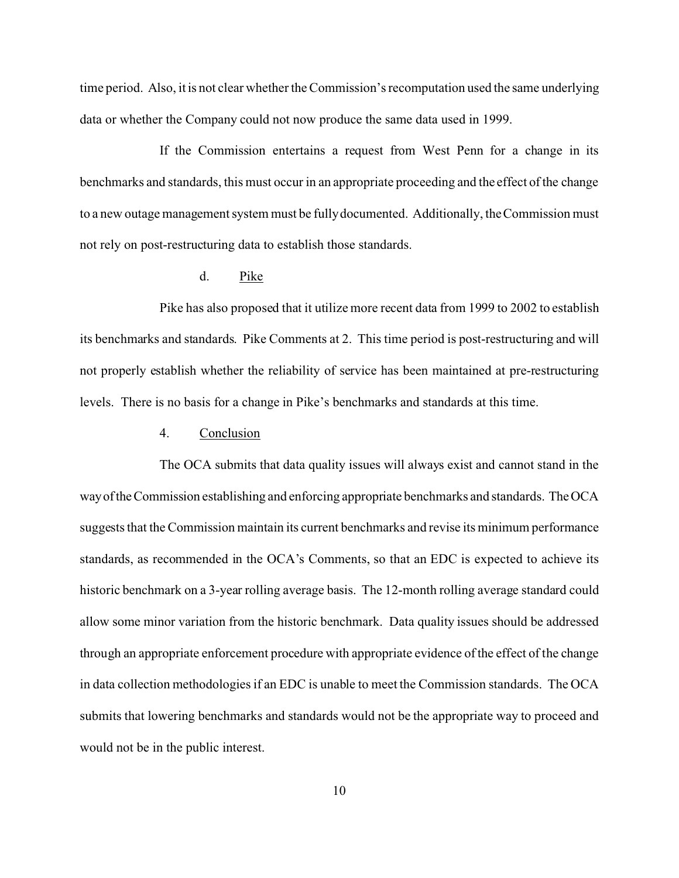time period. Also, it is not clear whether the Commission's recomputation used the same underlying data or whether the Company could not now produce the same data used in 1999.

If the Commission entertains a request from West Penn for a change in its benchmarks and standards, this must occur in an appropriate proceeding and the effect of the change to a new outage management system must be fully documented. Additionally, the Commission must not rely on post-restructuring data to establish those standards.

### d. Pike

Pike has also proposed that it utilize more recent data from 1999 to 2002 to establish its benchmarks and standards. Pike Comments at 2. This time period is post-restructuring and will not properly establish whether the reliability of service has been maintained at pre-restructuring levels. There is no basis for a change in Pike's benchmarks and standards at this time.

### 4. Conclusion

The OCA submits that data quality issues will always exist and cannot stand in the wayoftheCommission establishing and enforcing appropriate benchmarks and standards. TheOCA suggests that the Commission maintain its current benchmarks and revise its minimum performance standards, as recommended in the OCA's Comments, so that an EDC is expected to achieve its historic benchmark on a 3-year rolling average basis. The 12-month rolling average standard could allow some minor variation from the historic benchmark. Data quality issues should be addressed through an appropriate enforcement procedure with appropriate evidence of the effect of the change in data collection methodologies if an EDC is unable to meet the Commission standards. The OCA submits that lowering benchmarks and standards would not be the appropriate way to proceed and would not be in the public interest.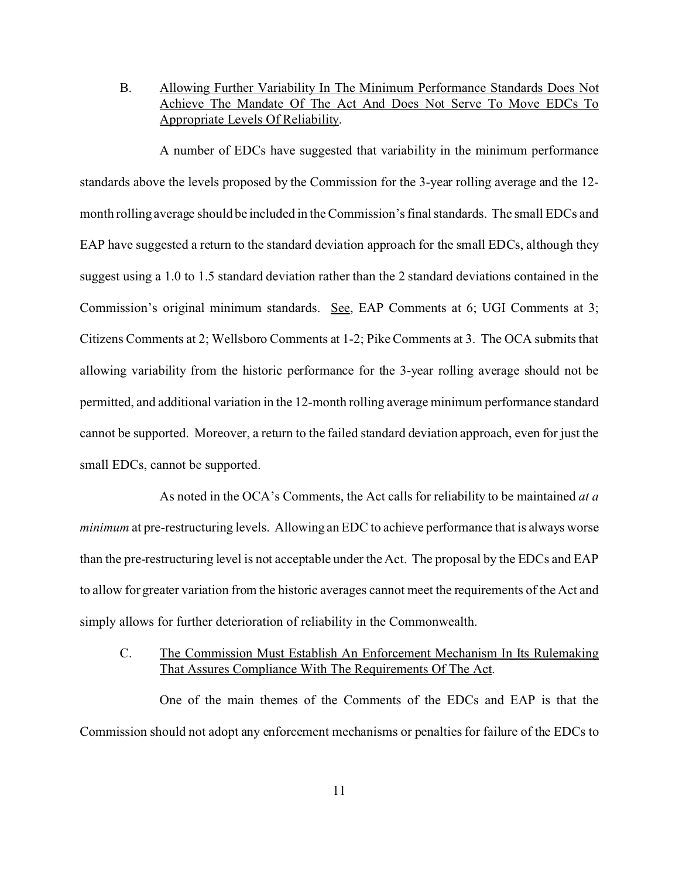B. Allowing Further Variability In The Minimum Performance Standards Does Not Achieve The Mandate Of The Act And Does Not Serve To Move EDCs To Appropriate Levels Of Reliability.

A number of EDCs have suggested that variability in the minimum performance standards above the levels proposed by the Commission for the 3-year rolling average and the 12 month rolling average should be included in the Commission's final standards. The small EDCs and EAP have suggested a return to the standard deviation approach for the small EDCs, although they suggest using a 1.0 to 1.5 standard deviation rather than the 2 standard deviations contained in the Commission's original minimum standards. See, EAP Comments at 6; UGI Comments at 3; Citizens Comments at 2; Wellsboro Comments at 1-2; Pike Comments at 3. The OCA submits that allowing variability from the historic performance for the 3-year rolling average should not be permitted, and additional variation in the 12-month rolling average minimum performance standard cannot be supported. Moreover, a return to the failed standard deviation approach, even for just the small EDCs, cannot be supported.

As noted in the OCA's Comments, the Act calls for reliability to be maintained *at a minimum* at pre-restructuring levels. Allowing an EDC to achieve performance that is always worse than the pre-restructuring level is not acceptable under the Act. The proposal by the EDCs and EAP to allow for greater variation from the historic averages cannot meet the requirements of the Act and simply allows for further deterioration of reliability in the Commonwealth.

## C. The Commission Must Establish An Enforcement Mechanism In Its Rulemaking That Assures Compliance With The Requirements Of The Act.

One of the main themes of the Comments of the EDCs and EAP is that the Commission should not adopt any enforcement mechanisms or penalties for failure of the EDCs to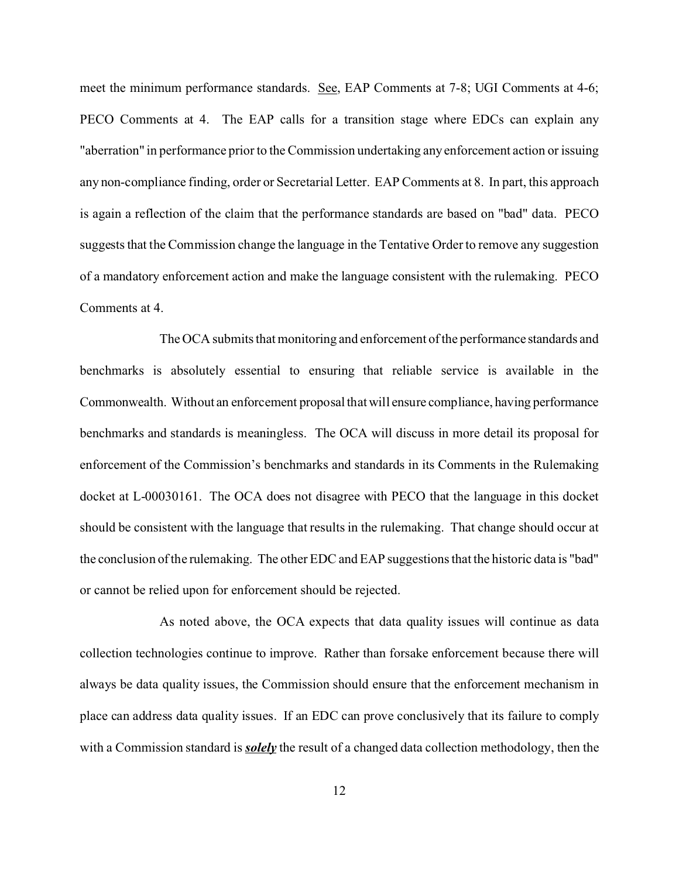meet the minimum performance standards. See, EAP Comments at 7-8; UGI Comments at 4-6; PECO Comments at 4. The EAP calls for a transition stage where EDCs can explain any "aberration" in performance prior to the Commission undertaking any enforcement action or issuing any non-compliance finding, order or Secretarial Letter. EAP Comments at 8. In part, this approach is again a reflection of the claim that the performance standards are based on "bad" data. PECO suggests that the Commission change the language in the Tentative Order to remove any suggestion of a mandatory enforcement action and make the language consistent with the rulemaking. PECO Comments at 4.

The OCA submits that monitoring and enforcement of the performance standards and benchmarks is absolutely essential to ensuring that reliable service is available in the Commonwealth. Without an enforcement proposal that will ensure compliance, having performance benchmarks and standards is meaningless. The OCA will discuss in more detail its proposal for enforcement of the Commission's benchmarks and standards in its Comments in the Rulemaking docket at L-00030161. The OCA does not disagree with PECO that the language in this docket should be consistent with the language that results in the rulemaking. That change should occur at the conclusion of the rulemaking. The other EDC and EAP suggestions that the historic data is "bad" or cannot be relied upon for enforcement should be rejected.

As noted above, the OCA expects that data quality issues will continue as data collection technologies continue to improve. Rather than forsake enforcement because there will always be data quality issues, the Commission should ensure that the enforcement mechanism in place can address data quality issues. If an EDC can prove conclusively that its failure to comply with a Commission standard is *solely* the result of a changed data collection methodology, then the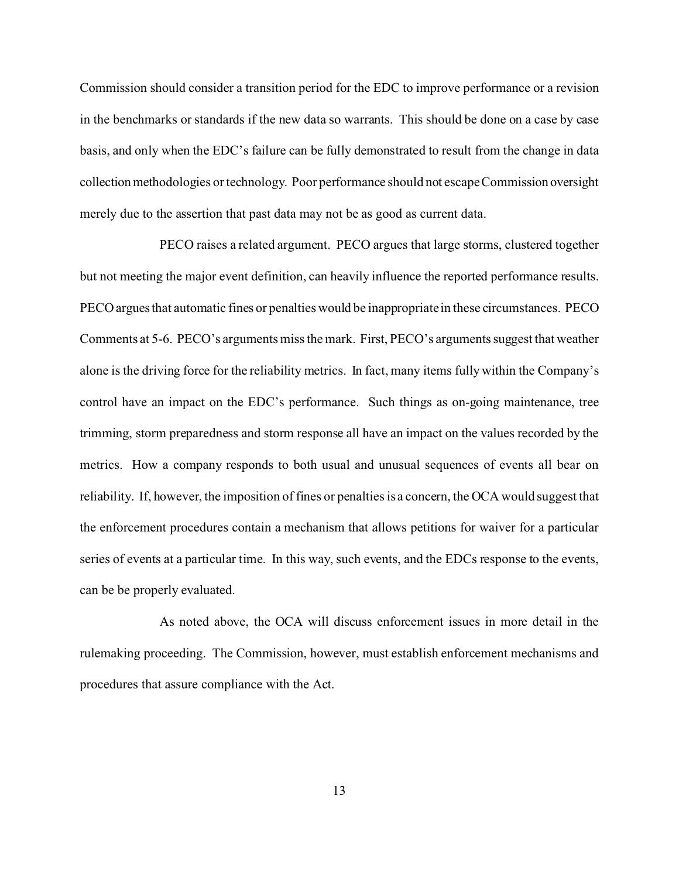Commission should consider a transition period for the EDC to improve performance or a revision in the benchmarks or standards if the new data so warrants. This should be done on a case by case basis, and only when the EDC's failure can be fully demonstrated to result from the change in data collectionmethodologies or technology. Poor performance should not escape Commission oversight merely due to the assertion that past data may not be as good as current data.

PECO raises a related argument. PECO argues that large storms, clustered together but not meeting the major event definition, can heavily influence the reported performance results. PECO arguesthat automatic fines or penalties would be inappropriate in these circumstances. PECO Comments at 5-6. PECO's arguments miss the mark. First, PECO's arguments suggest that weather alone is the driving force for the reliability metrics. In fact, many items fully within the Company's control have an impact on the EDC's performance. Such things as on-going maintenance, tree trimming, storm preparedness and storm response all have an impact on the values recorded by the metrics. How a company responds to both usual and unusual sequences of events all bear on reliability. If, however, the imposition of fines or penalties is a concern, the OCA would suggest that the enforcement procedures contain a mechanism that allows petitions for waiver for a particular series of events at a particular time. In this way, such events, and the EDCs response to the events, can be be properly evaluated.

As noted above, the OCA will discuss enforcement issues in more detail in the rulemaking proceeding. The Commission, however, must establish enforcement mechanisms and procedures that assure compliance with the Act.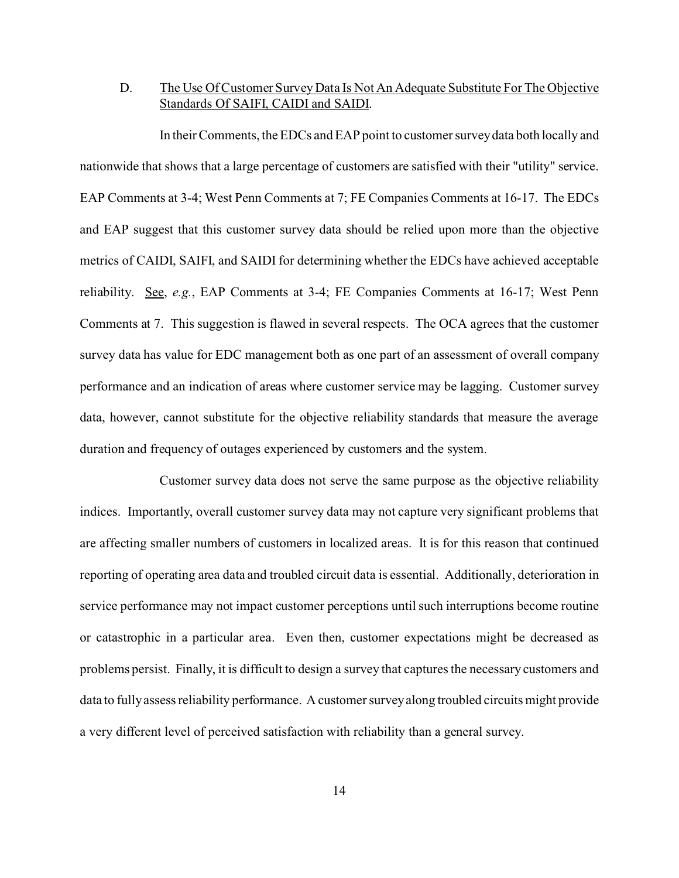## D. The Use Of Customer Survey Data Is Not An Adequate Substitute For The Objective Standards Of SAIFI, CAIDI and SAIDI.

In their Comments, the EDCs and EAP point to customer survey data both locally and nationwide that shows that a large percentage of customers are satisfied with their "utility" service. EAP Comments at 3-4; West Penn Comments at 7; FE Companies Comments at 16-17. The EDCs and EAP suggest that this customer survey data should be relied upon more than the objective metrics of CAIDI, SAIFI, and SAIDI for determining whether the EDCs have achieved acceptable reliability. See, *e.g.*, EAP Comments at 3-4; FE Companies Comments at 16-17; West Penn Comments at 7. This suggestion is flawed in several respects. The OCA agrees that the customer survey data has value for EDC management both as one part of an assessment of overall company performance and an indication of areas where customer service may be lagging. Customer survey data, however, cannot substitute for the objective reliability standards that measure the average duration and frequency of outages experienced by customers and the system.

Customer survey data does not serve the same purpose as the objective reliability indices. Importantly, overall customer survey data may not capture very significant problems that are affecting smaller numbers of customers in localized areas. It is for this reason that continued reporting of operating area data and troubled circuit data is essential. Additionally, deterioration in service performance may not impact customer perceptions until such interruptions become routine or catastrophic in a particular area. Even then, customer expectations might be decreased as problems persist. Finally, it is difficult to design a survey that captures the necessary customers and data to fully assess reliability performance. A customer survey along troubled circuits might provide a very different level of perceived satisfaction with reliability than a general survey.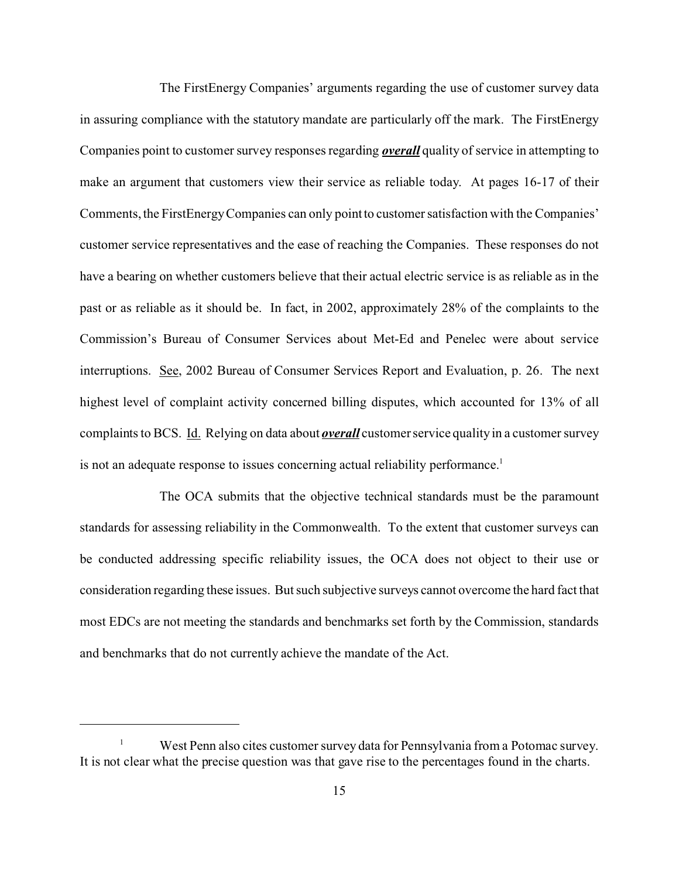The FirstEnergy Companies' arguments regarding the use of customer survey data in assuring compliance with the statutory mandate are particularly off the mark. The FirstEnergy Companies point to customer survey responses regarding *overall* quality of service in attempting to make an argument that customers view their service as reliable today. At pages 16-17 of their Comments, the FirstEnergy Companies can only point to customer satisfaction with the Companies' customer service representatives and the ease of reaching the Companies. These responses do not have a bearing on whether customers believe that their actual electric service is as reliable as in the past or as reliable as it should be. In fact, in 2002, approximately 28% of the complaints to the Commission's Bureau of Consumer Services about Met-Ed and Penelec were about service interruptions. See, 2002 Bureau of Consumer Services Report and Evaluation, p. 26. The next highest level of complaint activity concerned billing disputes, which accounted for 13% of all complaints to BCS. Id. Relying on data about *overall* customer service quality in a customer survey is not an adequate response to issues concerning actual reliability performance.<sup>1</sup>

The OCA submits that the objective technical standards must be the paramount standards for assessing reliability in the Commonwealth. To the extent that customer surveys can be conducted addressing specific reliability issues, the OCA does not object to their use or consideration regarding these issues. But such subjective surveys cannot overcome the hard fact that most EDCs are not meeting the standards and benchmarks set forth by the Commission, standards and benchmarks that do not currently achieve the mandate of the Act.

<sup>1</sup> West Penn also cites customer survey data for Pennsylvania from a Potomac survey. It is not clear what the precise question was that gave rise to the percentages found in the charts.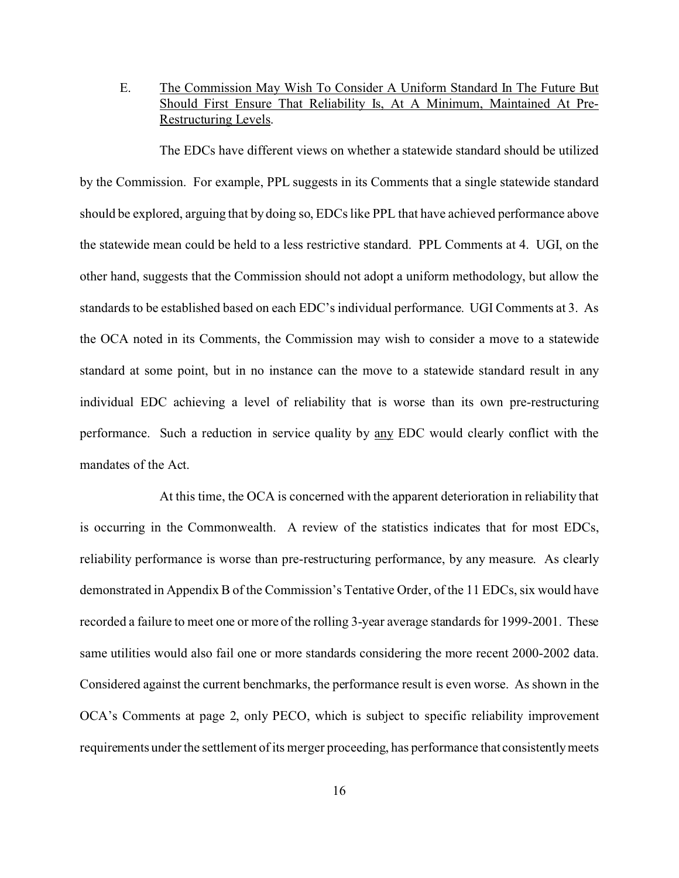## E. The Commission May Wish To Consider A Uniform Standard In The Future But Should First Ensure That Reliability Is, At A Minimum, Maintained At Pre-Restructuring Levels.

The EDCs have different views on whether a statewide standard should be utilized by the Commission. For example, PPL suggests in its Comments that a single statewide standard should be explored, arguing that by doing so, EDCs like PPL that have achieved performance above the statewide mean could be held to a less restrictive standard. PPL Comments at 4. UGI, on the other hand, suggests that the Commission should not adopt a uniform methodology, but allow the standards to be established based on each EDC's individual performance. UGI Comments at 3. As the OCA noted in its Comments, the Commission may wish to consider a move to a statewide standard at some point, but in no instance can the move to a statewide standard result in any individual EDC achieving a level of reliability that is worse than its own pre-restructuring performance. Such a reduction in service quality by any EDC would clearly conflict with the mandates of the Act.

At this time, the OCA is concerned with the apparent deterioration in reliability that is occurring in the Commonwealth. A review of the statistics indicates that for most EDCs, reliability performance is worse than pre-restructuring performance, by any measure. As clearly demonstrated in Appendix B of the Commission's Tentative Order, of the 11 EDCs, six would have recorded a failure to meet one or more of the rolling 3-year average standards for 1999-2001. These same utilities would also fail one or more standards considering the more recent 2000-2002 data. Considered against the current benchmarks, the performance result is even worse. As shown in the OCA's Comments at page 2, only PECO, which is subject to specific reliability improvement requirements under the settlement of its merger proceeding, has performance that consistently meets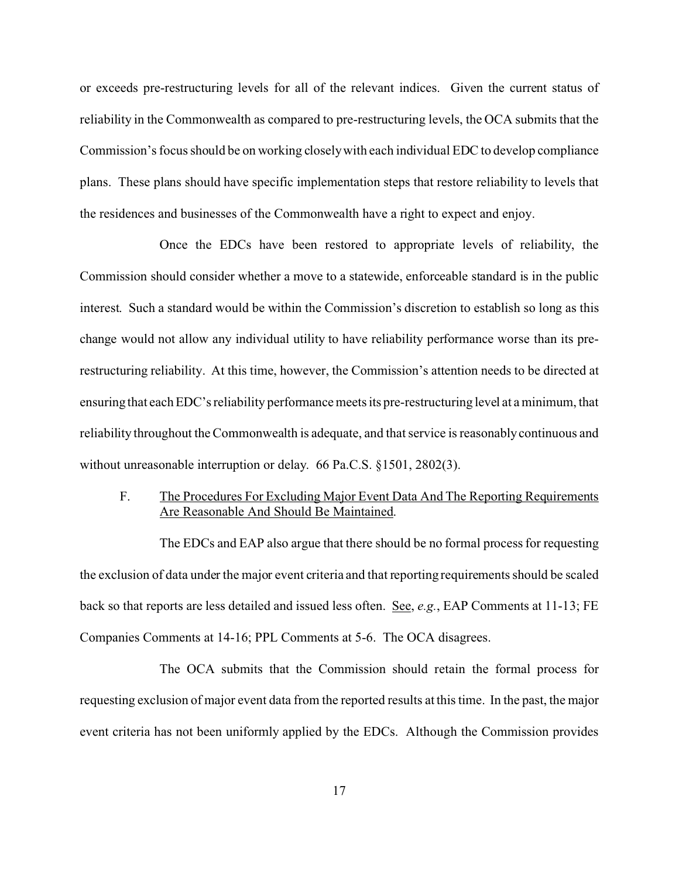or exceeds pre-restructuring levels for all of the relevant indices. Given the current status of reliability in the Commonwealth as compared to pre-restructuring levels, the OCA submits that the Commission's focus should be on working closely with each individual EDC to develop compliance plans. These plans should have specific implementation steps that restore reliability to levels that the residences and businesses of the Commonwealth have a right to expect and enjoy.

Once the EDCs have been restored to appropriate levels of reliability, the Commission should consider whether a move to a statewide, enforceable standard is in the public interest. Such a standard would be within the Commission's discretion to establish so long as this change would not allow any individual utility to have reliability performance worse than its prerestructuring reliability. At this time, however, the Commission's attention needs to be directed at ensuring that each EDC's reliability performance meets its pre-restructuring level at a minimum, that reliability throughout the Commonwealth is adequate, and that service is reasonably continuous and without unreasonable interruption or delay. 66 Pa.C.S. §1501, 2802(3).

F. The Procedures For Excluding Major Event Data And The Reporting Requirements Are Reasonable And Should Be Maintained.

The EDCs and EAP also argue that there should be no formal process for requesting the exclusion of data under the major event criteria and that reporting requirements should be scaled back so that reports are less detailed and issued less often. See, *e.g.*, EAP Comments at 11-13; FE Companies Comments at 14-16; PPL Comments at 5-6. The OCA disagrees.

The OCA submits that the Commission should retain the formal process for requesting exclusion of major event data from the reported results at this time. In the past, the major event criteria has not been uniformly applied by the EDCs. Although the Commission provides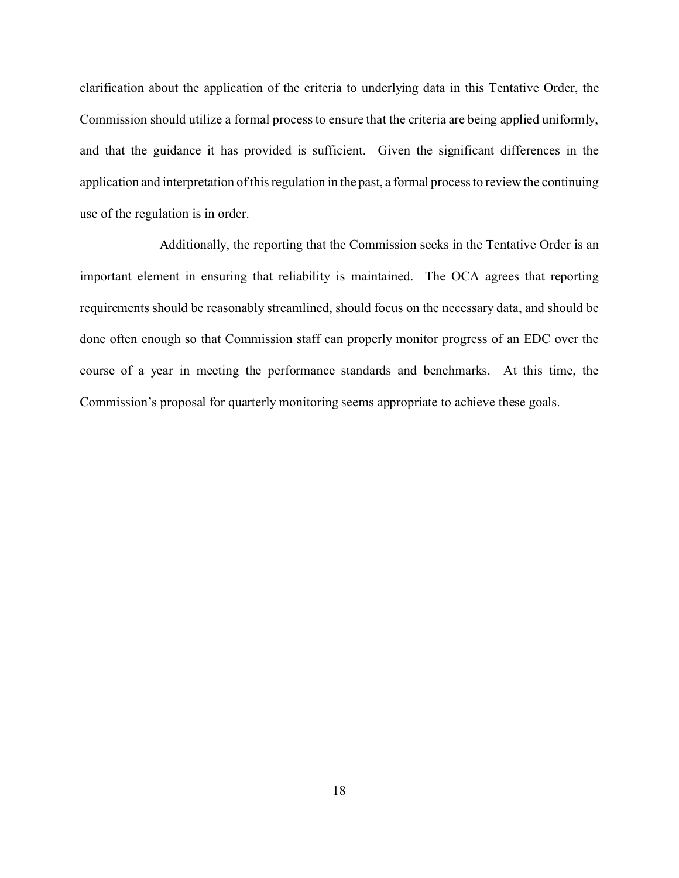clarification about the application of the criteria to underlying data in this Tentative Order, the Commission should utilize a formal process to ensure that the criteria are being applied uniformly, and that the guidance it has provided is sufficient. Given the significant differences in the application and interpretation of this regulation in the past, a formal process to review the continuing use of the regulation is in order.

Additionally, the reporting that the Commission seeks in the Tentative Order is an important element in ensuring that reliability is maintained. The OCA agrees that reporting requirements should be reasonably streamlined, should focus on the necessary data, and should be done often enough so that Commission staff can properly monitor progress of an EDC over the course of a year in meeting the performance standards and benchmarks. At this time, the Commission's proposal for quarterly monitoring seems appropriate to achieve these goals.